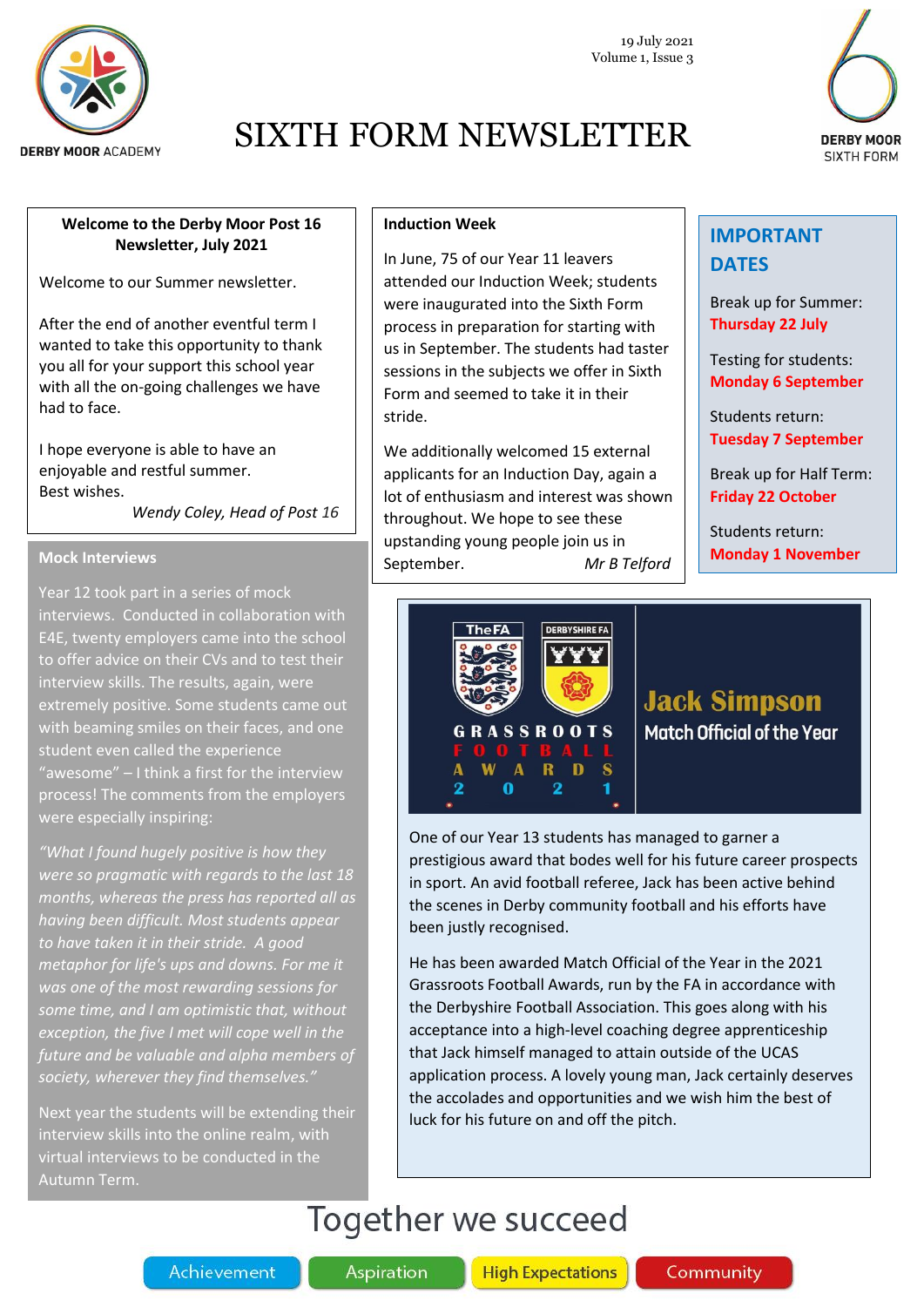

19 July 2021 Volume 1, Issue 3

# **DERBY MOOR SIXTH FORM**

### **Welcome to the Derby Moor Post 16 Newsletter, July 2021**

Welcome to our Summer newsletter.

After the end of another eventful term I wanted to take this opportunity to thank you all for your support this school year with all the on-going challenges we have had to face.

I hope everyone is able to have an enjoyable and restful summer. Best wishes.

 *Wendy Coley, Head of Post 16*

### **Mock Interviews**

Year 12 took part in a series of mock interviews. Conducted in collaboration with E4E, twenty employers came into the school to offer advice on their CVs and to test their interview skills. The results, again, were extremely positive. Some students came out with beaming smiles on their faces, and one student even called the experience "awesome" – I think a first for the interview process! The comments from the employers were especially inspiring:

*"What I found hugely positive is how they were so pragmatic with regards to the last 18 months, whereas the press has reported all as having been difficult. Most students appear to have taken it in their stride. A good metaphor for life's ups and downs. For me it was one of the most rewarding sessions for some time, and I am optimistic that, without exception, the five I met will cope well in the future and be valuable and alpha members of society, wherever they find themselves."*

Next year the students will be extending their interview skills into the online realm, with virtual interviews to be conducted in the Autumn Term.

### **Induction Week**

In June, 75 of our Year 11 leavers attended our Induction Week; students were inaugurated into the Sixth Form process in preparation for starting with us in September. The students had taster sessions in the subjects we offer in Sixth Form and seemed to take it in their stride.

We additionally welcomed 15 external applicants for an Induction Day, again a lot of enthusiasm and interest was shown throughout. We hope to see these upstanding young people join us in September. *Mr B Telford*

### **IMPORTANT DATES**

Break up for Summer: **Thursday 22 July**

Testing for students: **Monday 6 September**

Students return: **Tuesday 7 September**

Break up for Half Term: **Friday 22 October**

Students return: **Monday 1 November**



## **Jack Simpson Match Official of the Year**

One of our Year 13 students has managed to garner a prestigious award that bodes well for his future career prospects in sport. An avid football referee, Jack has been active behind the scenes in Derby community football and his efforts have been justly recognised.

He has been awarded Match Official of the Year in the 2021 Grassroots Football Awards, run by the FA in accordance with the Derbyshire Football Association. This goes along with his acceptance into a high-level coaching degree apprenticeship that Jack himself managed to attain outside of the UCAS application process. A lovely young man, Jack certainly deserves the accolades and opportunities and we wish him the best of luck for his future on and off the pitch.

# Together we succeed

Aspiration

**High Expectations**